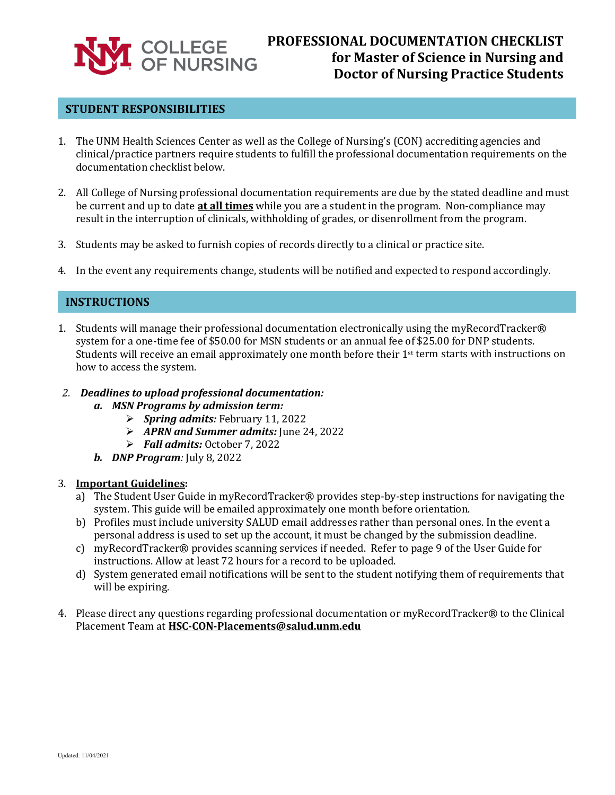

# **PROFESSIONAL DOCUMENTATION CHECKLIST for Master of Science in Nursing and Doctor of Nursing Practice Students**

## **STUDENT RESPONSIBILITIES**

- 1. The UNM Health Sciences Center as well as the College of Nursing's (CON) accrediting agencies and clinical/practice partners require students to fulfill the professional documentation requirements on the documentation checklist below.
- 2. All College of Nursing professional documentation requirements are due by the stated deadline and must be current and up to date **at all times** while you are a student in the program. Non-compliance may result in the interruption of clinicals, withholding of grades, or disenrollment from the program.
- 3. Students may be asked to furnish copies of records directly to a clinical or practice site.
- 4. In the event any requirements change, students will be notified and expected to respond accordingly.

#### **INSTRUCTIONS**

- 1. Students will manage their professional documentation electronically using the myRecordTracker® system for a one-time fee of \$50.00 for MSN students or an annual fee of \$25.00 for DNP students. Students will receive an email approximately one month before their  $1<sup>st</sup>$  term starts with instructions on how to access the system.
- *2. Deadlines to upload professional documentation:*
	- *a. MSN Programs by admission term:*
		- *Spring admits:* February 11, 2022
		- *APRN and Summer admits:* June 24, 2022
		- *Fall admits:* October 7, 2022
	- *b. DNP Program:* July 8, 2022

#### 3. **Important Guidelines:**

- a) The Student User Guide in myRecordTracker® provides step-by-step instructions for navigating the system. This guide will be emailed approximately one month before orientation.
- b) Profiles must include university SALUD email addresses rather than personal ones. In the event a personal address is used to set up the account, it must be changed by the submission deadline.
- c) myRecordTracker® provides scanning services if needed. Refer to page 9 of the User Guide for instructions. Allow at least 72 hours for a record to be uploaded.
- d) System generated email notifications will be sent to the student notifying them of requirements that will be expiring.
- 4. Please direct any questions regarding professional documentation or myRecordTracker® to the Clinical Placement Team at **[HSC-CON-Placements@salud.unm.edu](mailto:HSC-CON-Placements@salud.unm.edu)**